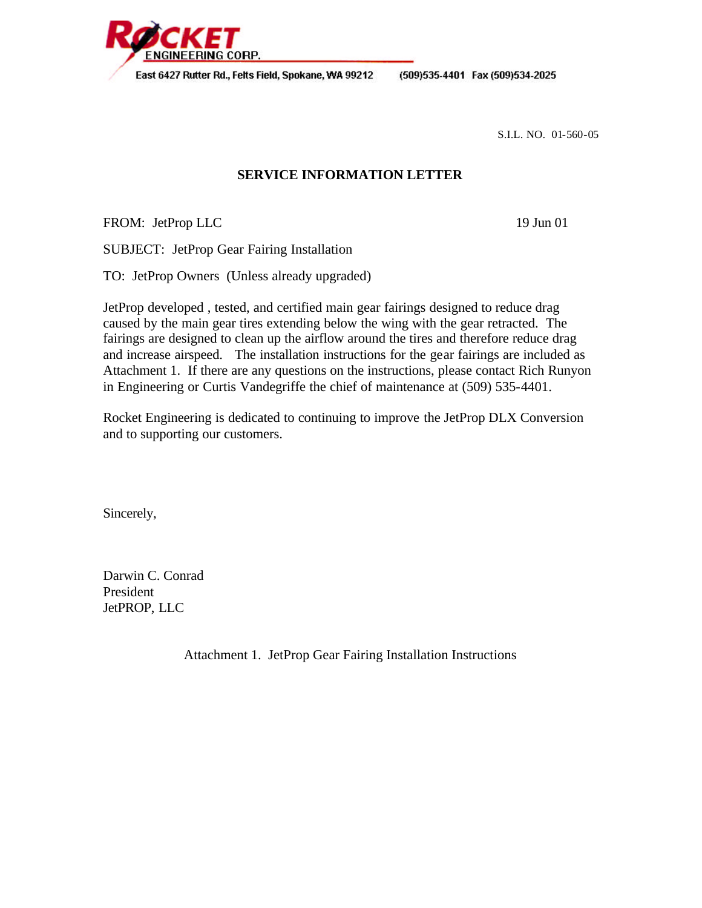

(509)535-4401 Fax (509)534-2025

S.I.L. NO. 01-560-05

# **SERVICE INFORMATION LETTER**

FROM: JetProp LLC 19 Jun 01

SUBJECT: JetProp Gear Fairing Installation

TO: JetProp Owners (Unless already upgraded)

JetProp developed , tested, and certified main gear fairings designed to reduce drag caused by the main gear tires extending below the wing with the gear retracted. The fairings are designed to clean up the airflow around the tires and therefore reduce drag and increase airspeed. The installation instructions for the gear fairings are included as Attachment 1. If there are any questions on the instructions, please contact Rich Runyon in Engineering or Curtis Vandegriffe the chief of maintenance at (509) 535-4401.

Rocket Engineering is dedicated to continuing to improve the JetProp DLX Conversion and to supporting our customers.

Sincerely,

Darwin C. Conrad President JetPROP, LLC

Attachment 1. JetProp Gear Fairing Installation Instructions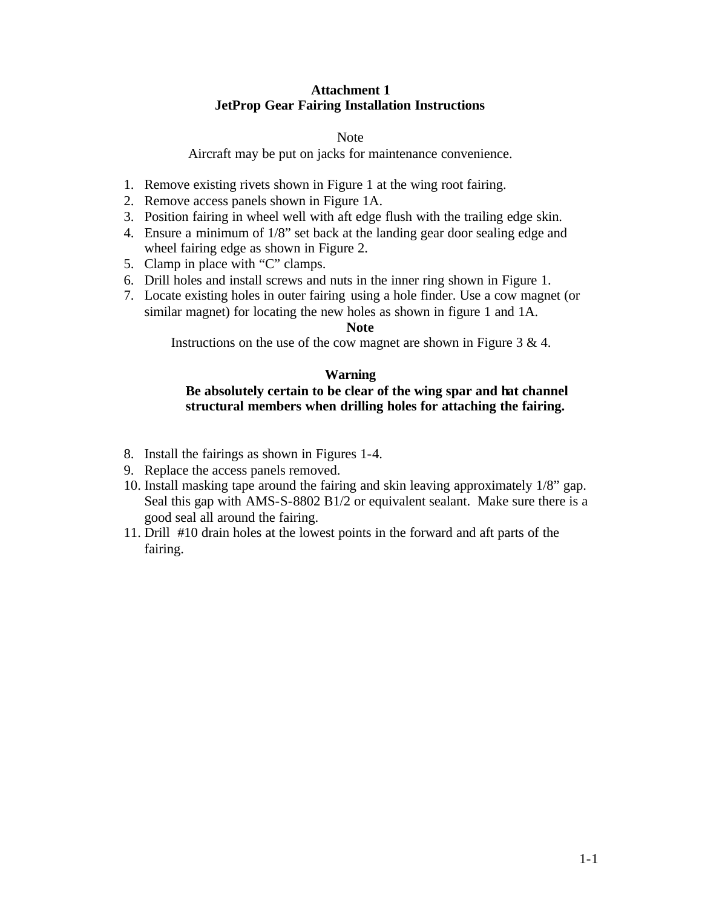## **Attachment 1 JetProp Gear Fairing Installation Instructions**

#### Note

Aircraft may be put on jacks for maintenance convenience.

- 1. Remove existing rivets shown in Figure 1 at the wing root fairing.
- 2. Remove access panels shown in Figure 1A.
- 3. Position fairing in wheel well with aft edge flush with the trailing edge skin.
- 4. Ensure a minimum of 1/8" set back at the landing gear door sealing edge and wheel fairing edge as shown in Figure 2.
- 5. Clamp in place with "C" clamps.
- 6. Drill holes and install screws and nuts in the inner ring shown in Figure 1.
- 7. Locate existing holes in outer fairing using a hole finder. Use a cow magnet (or similar magnet) for locating the new holes as shown in figure 1 and 1A.

#### **Note**

Instructions on the use of the cow magnet are shown in Figure 3 & 4.

## **Warning**

# **Be absolutely certain to be clear of the wing spar and hat channel structural members when drilling holes for attaching the fairing.**

- 8. Install the fairings as shown in Figures 1-4.
- 9. Replace the access panels removed.
- 10. Install masking tape around the fairing and skin leaving approximately 1/8" gap. Seal this gap with AMS-S-8802 B1/2 or equivalent sealant. Make sure there is a good seal all around the fairing.
- 11. Drill #10 drain holes at the lowest points in the forward and aft parts of the fairing.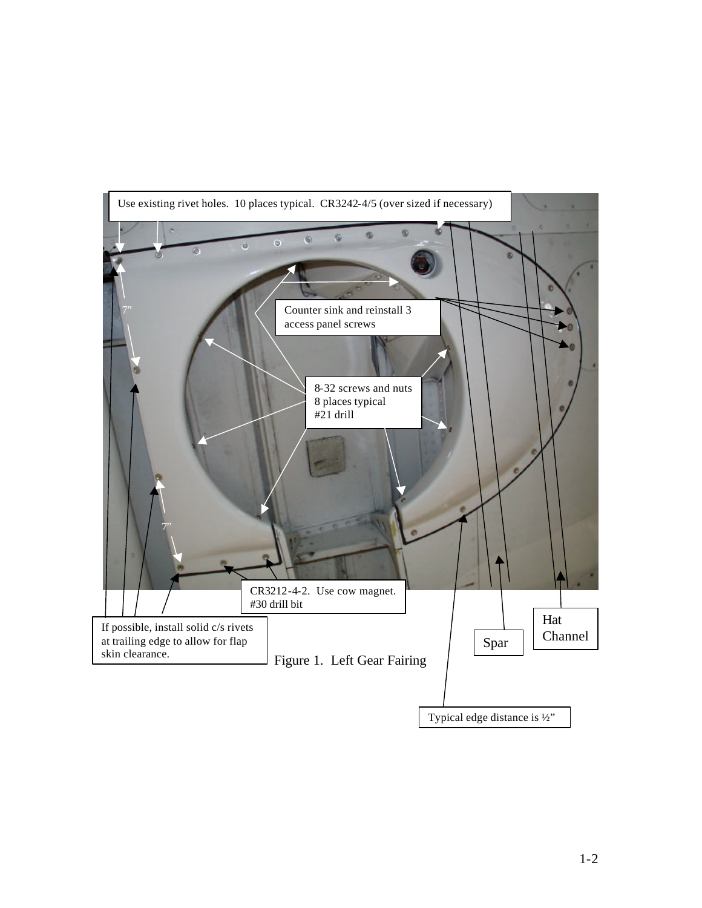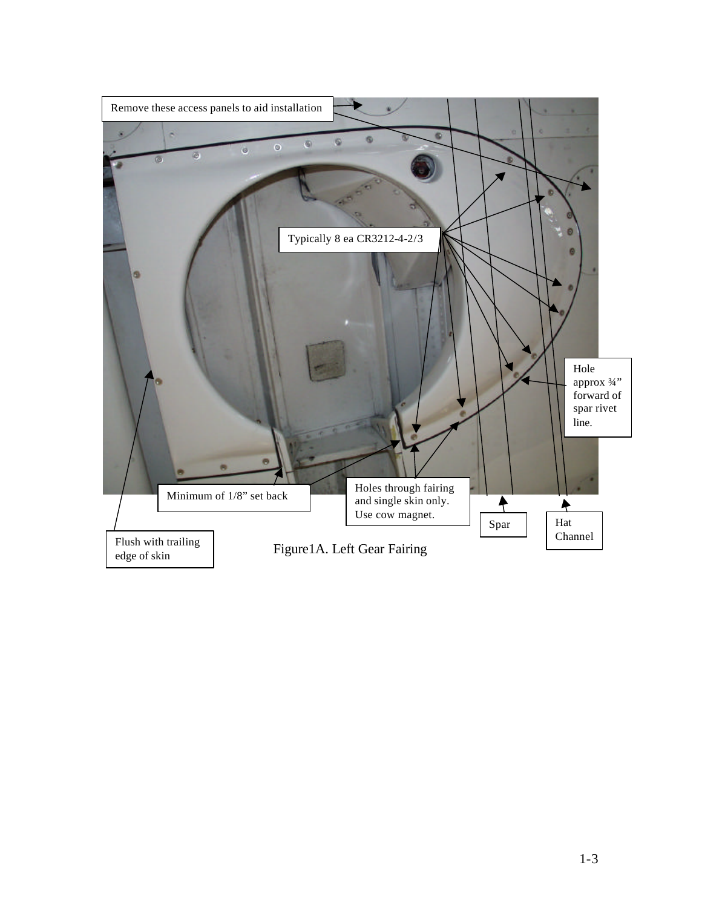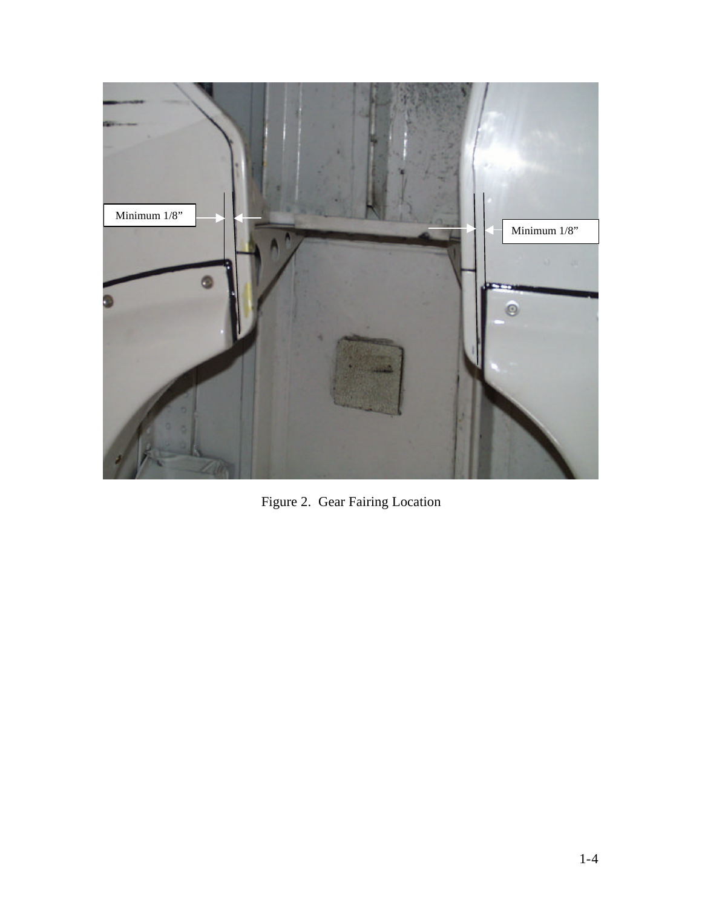

Figure 2. Gear Fairing Location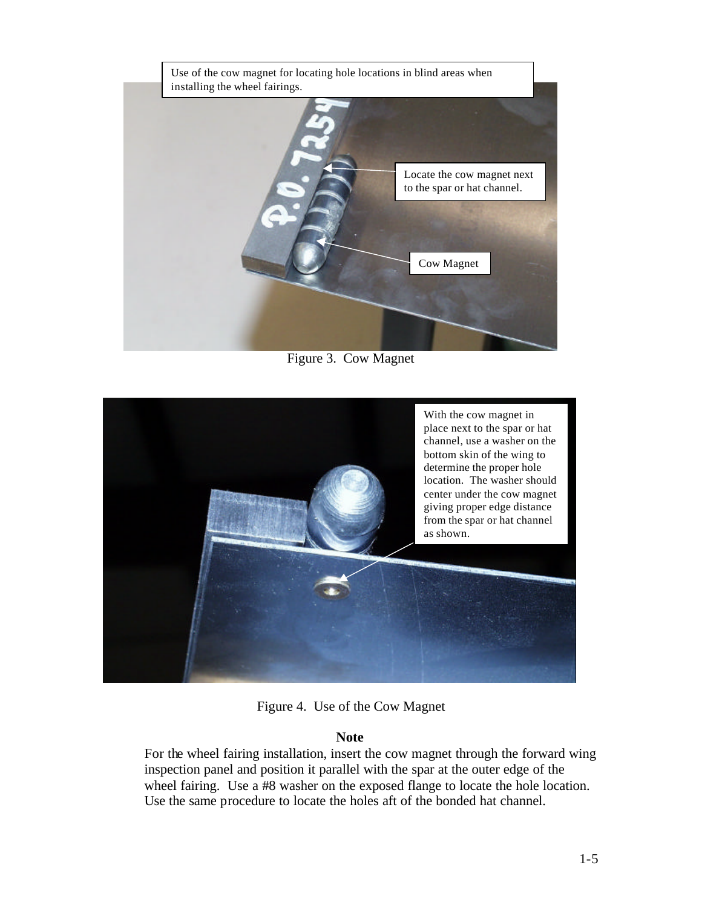

Figure 3. Cow Magnet



Figure 4. Use of the Cow Magnet

## **Note**

For the wheel fairing installation, insert the cow magnet through the forward wing inspection panel and position it parallel with the spar at the outer edge of the wheel fairing. Use a #8 washer on the exposed flange to locate the hole location. Use the same procedure to locate the holes aft of the bonded hat channel.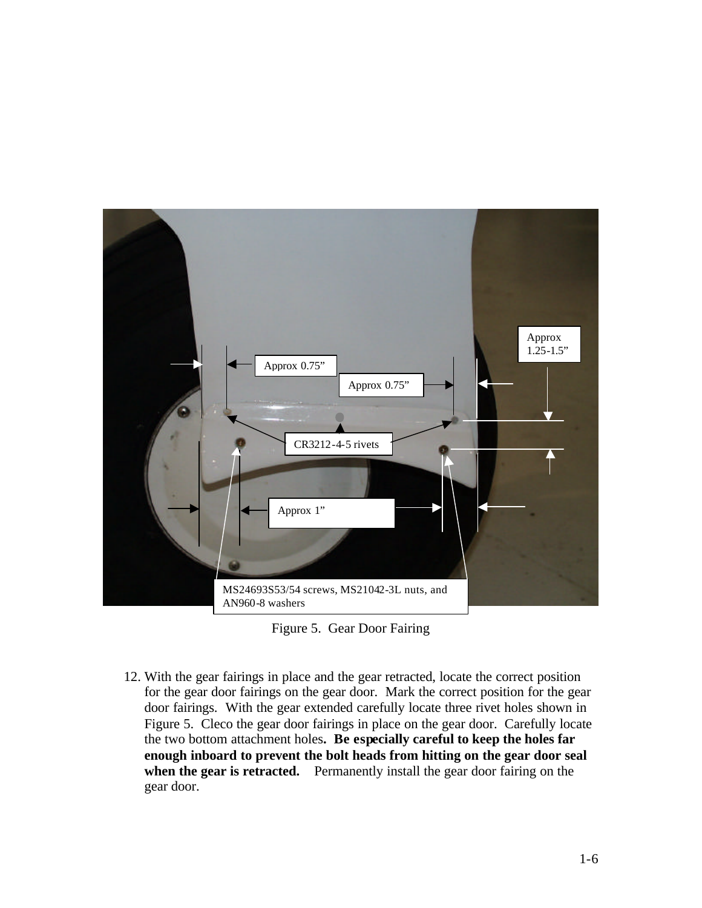

Figure 5. Gear Door Fairing

12. With the gear fairings in place and the gear retracted, locate the correct position for the gear door fairings on the gear door. Mark the correct position for the gear door fairings. With the gear extended carefully locate three rivet holes shown in Figure 5. Cleco the gear door fairings in place on the gear door. Carefully locate the two bottom attachment holes**. Be especially careful to keep the holes far enough inboard to prevent the bolt heads from hitting on the gear door seal when the gear is retracted.** Permanently install the gear door fairing on the gear door.